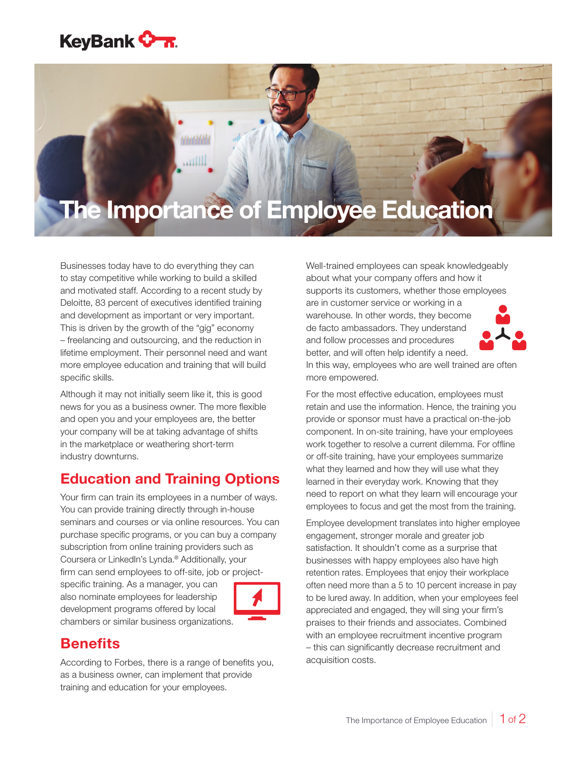## **KeyBank <del>On.</del>**

# The Importance of Employee Education

Businesses today have to do everything they can to stay competitive while working to build a skilled and motivated staff. According to a recent study by Deloitte, 83 percent of executives identified training and development as important or very important. This is driven by the growth of the "gig" economy – freelancing and outsourcing, and the reduction in lifetime employment. Their personnel need and want more employee education and training that will build specific skills.

الاللات

Although it may not initially seem like it, this is good news for you as a business owner. The more flexible and open you and your employees are, the better your company will be at taking advantage of shifts in the marketplace or weathering short-term industry downturns.

#### Education and Training Options

Your firm can train its employees in a number of ways. You can provide training directly through in-house seminars and courses or via online resources. You can purchase specific programs, or you can buy a company subscription from online training providers such as Coursera or LinkedIn's Lynda.® Additionally, your firm can send employees to off-site, job or project-

specific training. As a manager, you can also nominate employees for leadership development programs offered by local chambers or similar business organizations.



### **Benefits**

According to Forbes, there is a range of benefits you, as a business owner, can implement that provide training and education for your employees.

Well-trained employees can speak knowledgeably about what your company offers and how it supports its customers, whether those employees are in customer service or working in a warehouse. In other words, they become de facto ambassadors. They understand and follow processes and procedures better, and will often help identify a need.



In this way, employees who are well trained are often more empowered.

For the most effective education, employees must retain and use the information. Hence, the training you provide or sponsor must have a practical on-the-job component. In on-site training, have your employees work together to resolve a current dilemma. For offline or off-site training, have your employees summarize what they learned and how they will use what they learned in their everyday work. Knowing that they need to report on what they learn will encourage your employees to focus and get the most from the training.

Employee development translates into higher employee engagement, stronger morale and greater job satisfaction. It shouldn't come as a surprise that businesses with happy employees also have high retention rates. Employees that enjoy their workplace often need more than a 5 to 10 percent increase in pay to be lured away. In addition, when your employees feel appreciated and engaged, they will sing your firm's praises to their friends and associates. Combined with an employee recruitment incentive program – this can significantly decrease recruitment and acquisition costs.